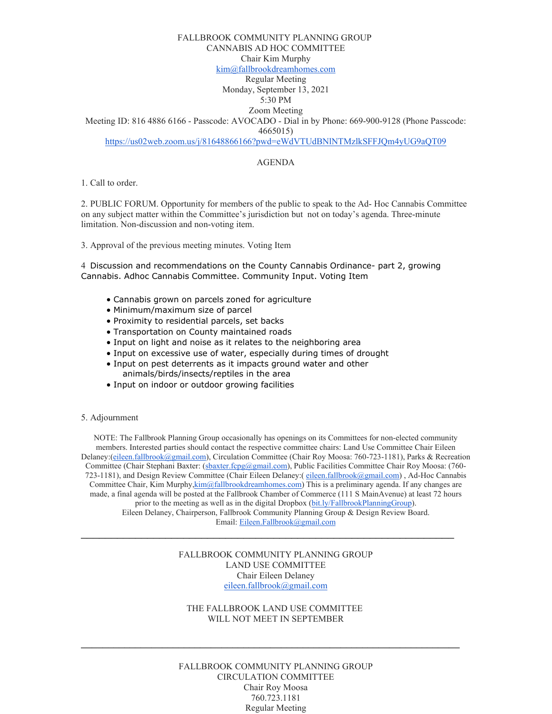#### FALLBROOK COMMUNITY PLANNING GROUP

CANNABIS AD HOC COMMITTEE

Chair Kim Murphy

[kim@fallbrookdreamhomes.com](mailto:kim@fallbrookdreamhomes.com)

Regular Meeting Monday, September 13, 2021

5:30 PM

Zoom Meeting

Meeting ID: 816 4886 6166 - Passcode: AVOCADO - Dial in by Phone: 669-900-9128 (Phone Passcode: 4665015)

<https://us02web.zoom.us/j/81648866166?pwd=eWdVTUdBNlNTMzlkSFFJQm4yUG9aQT09>

# AGENDA

1. Call to order.

2. PUBLIC FORUM. Opportunity for members of the public to speak to the Ad- Hoc Cannabis Committee on any subject matter within the Committee's jurisdiction but not on today's agenda. Three-minute limitation. Non-discussion and non-voting item.

3. Approval of the previous meeting minutes. Voting Item

4 Discussion and recommendations on the County Cannabis Ordinance- part 2, growing Cannabis. Adhoc Cannabis Committee. Community Input. Voting Item

- Cannabis grown on parcels zoned for agriculture
- Minimum/maximum size of parcel
- Proximity to residential parcels, set backs
- Transportation on County maintained roads
- Input on light and noise as it relates to the neighboring area
- Input on excessive use of water, especially during times of drought
- Input on pest deterrents as it impacts ground water and other animals/birds/insects/reptiles in the area
- Input on indoor or outdoor growing facilities

5. Adjournment

NOTE: The Fallbrook Planning Group occasionally has openings on its Committees for non-elected community members. Interested parties should contact the respective committee chairs: Land Use Committee Chair Eileen Delaney:[\(eileen.fallbrook@gmail.com\)](mailto:eileen.fallbrook@gmail.com), Circulation Committee (Chair Roy Moosa: 760-723-1181), Parks & Recreation Committee (Chair Stephani Baxter: [\(sbaxter.fcpg@gmail.com\)](mailto:sbaxter.fcpg@gmail.com), Public Facilities Committee Chair Roy Moosa: (760723-1181), and Design Review Committee (Chair Eileen Delaney: ([eileen.fallbrook@gmail.com\)](mailto:eileen.fallbrook@gmail.com), Ad-Hoc Cannabis Committee Chair, Kim Murph[y,kim@fallbrookdreamhomes.com\)](mailto:9kim@fallbrookdreamhomes.com) This is a preliminary agenda. If any changes are made, a final agenda will be posted at the Fallbrook Chamber of Commerce (111 S MainAvenue) at least 72 hours prior to the meeting as well as in the digital Dropbox [\(bit.ly/FallbrookPlanningGroup\)](http://bit.ly/FallbrookPlanningGroup). Eileen Delaney, Chairperson, Fallbrook Community Planning Group & Design Review Board. Email: [Eileen.Fallbrook@gmail.com](mailto:Eileen.Fallbrook@gmail.com)

> FALLBROOK COMMUNITY PLANNING GROUP LAND USE COMMITTEE Chair Eileen Delaney [eileen.fallbrook@gmail.com](mailto:eileen.fallbrook@gmail.com)

\_\_\_\_\_\_\_\_\_\_\_\_\_\_\_\_\_\_\_\_\_\_\_\_\_\_\_\_\_\_\_\_\_\_\_\_\_\_\_\_\_\_\_\_\_\_\_\_\_\_\_\_\_\_\_\_\_\_\_\_\_\_

THE FALLBROOK LAND USE COMMITTEE WILL NOT MEET IN SEPTEMBER

**\_\_\_\_\_\_\_\_\_\_\_\_\_\_\_\_\_\_\_\_\_\_\_\_\_\_\_\_\_\_\_\_\_\_\_\_\_\_\_\_\_\_\_\_\_\_\_\_\_\_\_\_\_\_\_\_\_\_\_\_\_\_\_\_\_\_\_\_\_\_**

FALLBROOK COMMUNITY PLANNING GROUP CIRCULATION COMMITTEE Chair Roy Moosa 760.723.1181 Regular Meeting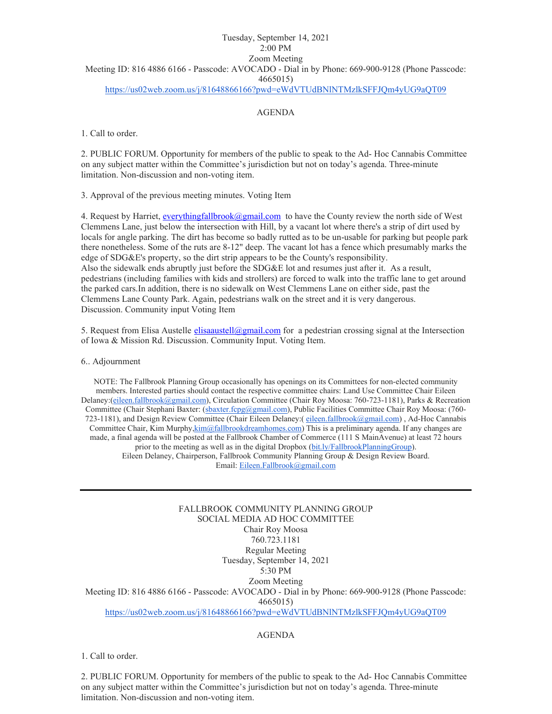## Tuesday, September 14, 2021 2:00 PM Zoom Meeting Meeting ID: 816 4886 6166 - Passcode: AVOCADO - Dial in by Phone: 669-900-9128 (Phone Passcode: 4665015) <https://us02web.zoom.us/j/81648866166?pwd=eWdVTUdBNlNTMzlkSFFJQm4yUG9aQT09>

## AGENDA

1. Call to order.

2. PUBLIC FORUM. Opportunity for members of the public to speak to the Ad- Hoc Cannabis Committee on any subject matter within the Committee's jurisdiction but not on today's agenda. Three-minute limitation. Non-discussion and non-voting item.

3. Approval of the previous meeting minutes. Voting Item

4. Request by Harriet[, everythingfallbrook@gmail.com](mailto:everythingfallbrook@gmail.com) to have the County review the north side of West Clemmens Lane, just below the intersection with Hill, by a vacant lot where there's a strip of dirt used by locals for angle parking. The dirt has become so badly rutted as to be un-usable for parking but people park there nonetheless. Some of the ruts are 8-12" deep. The vacant lot has a fence which presumably marks the edge of SDG&E's property, so the dirt strip appears to be the County's responsibility. Also the sidewalk ends abruptly just before the SDG&E lot and resumes just after it. As a result, pedestrians (including families with kids and strollers) are forced to walk into the traffic lane to get around the parked cars.In addition, there is no sidewalk on West Clemmens Lane on either side, past the Clemmens Lane County Park. Again, pedestrians walk on the street and it is very dangerous. Discussion. Community input Voting Item

5. Request from Elisa Austelle [elisaaustell@gmail.com](mailto:elisaaustell@gmail.com) for a pedestrian crossing signal at the Intersection of Iowa & Mission Rd. Discussion. Community Input. Voting Item.

#### 6.. Adjournment

NOTE: The Fallbrook Planning Group occasionally has openings on its Committees for non-elected community members. Interested parties should contact the respective committee chairs: Land Use Committee Chair Eileen Delaney:[\(eileen.fallbrook@gmail.com\)](mailto:eileen.fallbrook@gmail.com), Circulation Committee (Chair Roy Moosa: 760-723-1181), Parks & Recreation Committee (Chair Stephani Baxter: [\(sbaxter.fcpg@gmail.com\)](mailto:sbaxter.fcpg@gmail.com), Public Facilities Committee Chair Roy Moosa: (760-723-1181), and Design Review Committee (Chair Eileen Delaney:( [eileen.fallbrook@gmail.com\)](mailto:eileen.fallbrook@gmail.com) , Ad-Hoc Cannabis Committee Chair, Kim Murph[y,kim@fallbrookdreamhomes.com\)](mailto:9kim@fallbrookdreamhomes.com) This is a preliminary agenda. If any changes are made, a final agenda will be posted at the Fallbrook Chamber of Commerce (111 S MainAvenue) at least 72 hours prior to the meeting as well as in the digital Dropbox [\(bit.ly/FallbrookPlanningGroup\)](http://bit.ly/FallbrookPlanningGroup). Eileen Delaney, Chairperson, Fallbrook Community Planning Group & Design Review Board. Email: [Eileen.Fallbrook@gmail.com](mailto:Eileen.Fallbrook@gmail.com)

FALLBROOK COMMUNITY PLANNING GROUP SOCIAL MEDIA AD HOC COMMITTEE Chair Roy Moosa 760.723.1181 Regular Meeting Tuesday, September 14, 2021 5:30 PM Zoom Meeting Meeting ID: 816 4886 6166 - Passcode: AVOCADO - Dial in by Phone: 669-900-9128 (Phone Passcode: 4665015) <https://us02web.zoom.us/j/81648866166?pwd=eWdVTUdBNlNTMzlkSFFJQm4yUG9aQT09>

### AGENDA

1. Call to order.

2. PUBLIC FORUM. Opportunity for members of the public to speak to the Ad- Hoc Cannabis Committee on any subject matter within the Committee's jurisdiction but not on today's agenda. Three-minute limitation. Non-discussion and non-voting item.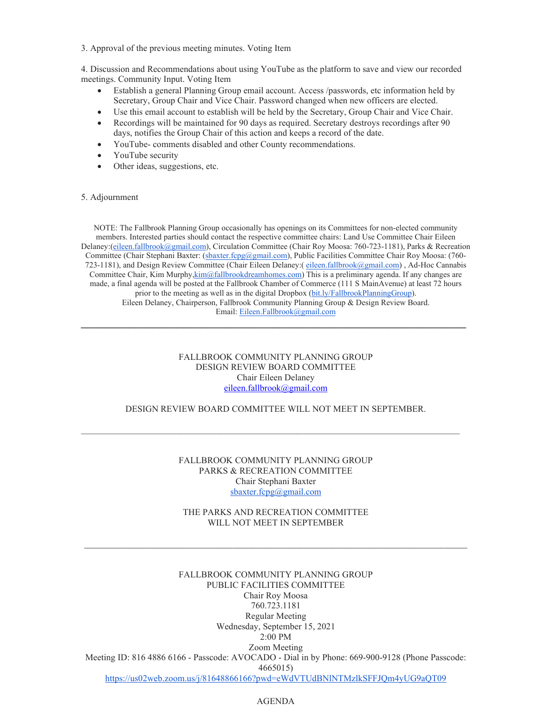3. Approval of the previous meeting minutes. Voting Item

4. Discussion and Recommendations about using YouTube as the platform to save and view our recorded meetings. Community Input. Voting Item

- Establish a general Planning Group email account. Access /passwords, etc information held by Secretary, Group Chair and Vice Chair. Password changed when new officers are elected.
- Use this email account to establish will be held by the Secretary, Group Chair and Vice Chair.
- Recordings will be maintained for 90 days as required. Secretary destroys recordings after 90 days, notifies the Group Chair of this action and keeps a record of the date.
- YouTube- comments disabled and other County recommendations.
- YouTube security
- Other ideas, suggestions, etc.

#### 5. Adjournment

NOTE: The Fallbrook Planning Group occasionally has openings on its Committees for non-elected community members. Interested parties should contact the respective committee chairs: Land Use Committee Chair Eileen Delaney:[\(eileen.fallbrook@gmail.com\)](mailto:eileen.fallbrook@gmail.com), Circulation Committee (Chair Roy Moosa: 760-723-1181), Parks & Recreation Committee (Chair Stephani Baxter: [\(sbaxter.fcpg@gmail.com\)](mailto:sbaxter.fcpg@gmail.com), Public Facilities Committee Chair Roy Moosa: (760-723-1181), and Design Review Committee (Chair Eileen Delaney:( [eileen.fallbrook@gmail.com\)](mailto:eileen.fallbrook@gmail.com) , Ad-Hoc Cannabis Committee Chair, Kim Murph[y,kim@fallbrookdreamhomes.com\)](mailto:9kim@fallbrookdreamhomes.com) This is a preliminary agenda. If any changes are made, a final agenda will be posted at the Fallbrook Chamber of Commerce (111 S MainAvenue) at least 72 hours prior to the meeting as well as in the digital Dropbox [\(bit.ly/FallbrookPlanningGroup\)](http://bit.ly/FallbrookPlanningGroup). Eileen Delaney, Chairperson, Fallbrook Community Planning Group & Design Review Board. Email: [Eileen.Fallbrook@gmail.com](mailto:Eileen.Fallbrook@gmail.com)

### FALLBROOK COMMUNITY PLANNING GROUP DESIGN REVIEW BOARD COMMITTEE Chair Eileen Delaney [eileen.fallbrook@gmail.com](mailto:eileen.fallbrook@gmail.com)

\_\_\_\_\_\_\_\_\_\_\_\_\_\_\_\_\_\_\_\_\_\_\_\_\_\_\_\_\_\_\_\_\_\_\_\_\_\_\_\_\_\_\_\_\_\_\_\_\_\_\_\_\_\_\_\_\_\_\_\_\_\_\_\_

#### DESIGN REVIEW BOARD COMMITTEE WILL NOT MEET IN SEPTEMBER.

 $\_$  , and the set of the set of the set of the set of the set of the set of the set of the set of the set of the set of the set of the set of the set of the set of the set of the set of the set of the set of the set of th

### FALLBROOK COMMUNITY PLANNING GROUP PARKS & RECREATION COMMITTEE Chair Stephani Baxter [sbaxter.fcpg@gmail.com](mailto:sbaxter.fcpg@gmail.com)

### THE PARKS AND RECREATION COMMITTEE WILL NOT MEET IN SEPTEMBER

 $\mathcal{L}_\mathcal{L} = \{ \mathcal{L}_\mathcal{L} = \{ \mathcal{L}_\mathcal{L} = \{ \mathcal{L}_\mathcal{L} = \{ \mathcal{L}_\mathcal{L} = \{ \mathcal{L}_\mathcal{L} = \{ \mathcal{L}_\mathcal{L} = \{ \mathcal{L}_\mathcal{L} = \{ \mathcal{L}_\mathcal{L} = \{ \mathcal{L}_\mathcal{L} = \{ \mathcal{L}_\mathcal{L} = \{ \mathcal{L}_\mathcal{L} = \{ \mathcal{L}_\mathcal{L} = \{ \mathcal{L}_\mathcal{L} = \{ \mathcal{L}_\mathcal{$ 

# FALLBROOK COMMUNITY PLANNING GROUP PUBLIC FACILITIES COMMITTEE Chair Roy Moosa 760.723.1181 Regular Meeting Wednesday, September 15, 2021 2:00 PM Zoom Meeting Meeting ID: 816 4886 6166 - Passcode: AVOCADO - Dial in by Phone: 669-900-9128 (Phone Passcode: 4665015) <https://us02web.zoom.us/j/81648866166?pwd=eWdVTUdBNlNTMzlkSFFJQm4yUG9aQT09>

#### AGENDA